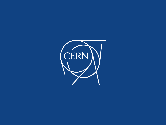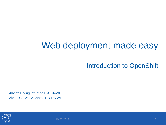### Web deployment made easy

Introduction to OpenShift

Alberto Rodriguez Peon IT-CDA-WF Alvaro Gonzalez Alvarez IT-CDA-WF



10/26/2017 2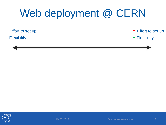- Effort to set up

**+** Effort to set up

- Flexibility

**+** Flexibility



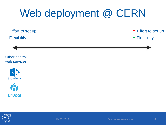$-$  Effort to set up

#### ⎼ Flexibility

**+** Effort to set up

**+** Flexibility

Other central web services







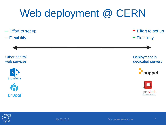⎼ Effort to set up **+** Effort to set up ⎼ Flexibility **+** Flexibility Other central Deployment in web services dedicated servers puppet SharePoint R openstack **Drupal** 

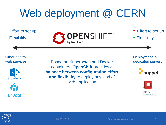⎼ Effort to set up ⎼ Flexibility



**+** Effort to set up **+** Flexibility

#### Other central web services





Based on Kubernetes and Docker containers, **OpenShift** provides **a balance between configuration effort and flexibility** to deploy any kind of web application

Deployment in dedicated servers





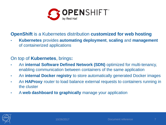

#### **OpenShift** is a Kubernetes distribution **customized for web hosting**

• **Kubernetes** provides **automating deployment**, **scaling** and **management** of containerized applications

#### On top of **Kubernetes**, brings**:**

- An **internal Software Defined Network (SDN)** optimized for multi-tenancy, enabling communication between containers of the same application
- An **internal Docker registry** to store automatically generated Docker images
- An **HAProxy** router to load balance external requests to containers running in the cluster
- A **web dashboard to graphically** manage your application

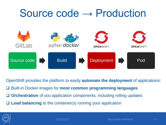## Source code → Production python docker GitLab **OPENSHIFT OPENSHIFT** Source code  $\Box$  Build  $\Box$  Deployment  $\Box$  Pod

OpenShift provides the platform to easily **automate the deployment** of applications: Built-in Docker images for **most common programming languages** □ **Orchestration** of you application components, including rolling updates □ **Load balancing** to the container(s) running your application

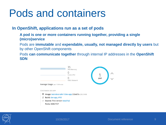## Pods and containers

#### **In OpenShift, applications run as a set of pods**

**A pod is one or more containers running together, providing a single (micro)service**

Pods are **immutable** and **expendable, usually, not managed directly by users** but by other OpenShift components

Pods **can communicate together** through internal IP addresses in the **OpenShift SDN**



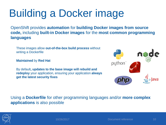# Building a Docker image

OpenShift provides **automation** for **building Docker images from source code,** including **built-in Docker images** for the **most common programming languages**

These images allow **out-of-the-box build process** without writing a Dockerfile

**Maintained** by **Red Hat**

By default**, updates to the base image will rebuild and redeploy** your application, ensuring your application **always get the latest security fixes**



Using a **Dockerfile** for other programming languages and/or **more complex applications** is also possible

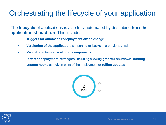- **Triggers for automatic redeployment** after a change
- **Versioning of the application,** supporting rollbacks to a previous version
- Manual or automatic **scaling of components**
- **Different deployment strategies,** including allowing **graceful shutdown**, **running custom hooks** at a given point of the deployment or **rolling updates**



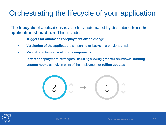- **Triggers for automatic redeployment** after a change
- **Versioning of the application,** supporting rollbacks to a previous version
- Manual or automatic **scaling of components**
- **Different deployment strategies,** including allowing **graceful shutdown**, **running custom hooks** at a given point of the deployment or **rolling updates**



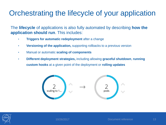- **Triggers for automatic redeployment** after a change
- **Versioning of the application,** supporting rollbacks to a previous version
- Manual or automatic **scaling of components**
- **Different deployment strategies,** including allowing **graceful shutdown**, **running custom hooks** at a given point of the deployment or **rolling updates**



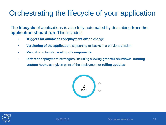- **Triggers for automatic redeployment** after a change
- **Versioning of the application,** supporting rollbacks to a previous version
- Manual or automatic **scaling of components**
- **Different deployment strategies,** including allowing **graceful shutdown**, **running custom hooks** at a given point of the deployment or **rolling updates**



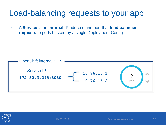### Load-balancing requests to your app

• A **Service** is an **internal** IP address and port that **load balances requests** to pods backed by a single Deployment Config



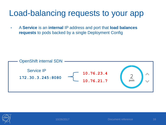### Load-balancing requests to your app

• A **Service** is an **internal** IP address and port that **load balances requests** to pods backed by a single Deployment Config



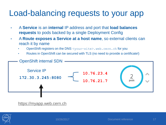### Load-balancing requests to your app

- A **Service** is an **internal** IP address and port that **load balances requests** to pods backed by a single Deployment Config
- A **Route exposes a Service at a host name**, so external clients can reach it by name
	- OpenShift registers on the DNS <your-site>.web.cern.ch for you
	- Routes in OpenShift can be secured with TLS (no need to provide a certificate!)



[https://myapp.web.cern.ch](https://myapp.web.cern.ch/)

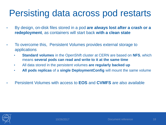### Persisting data across pod restarts

- By design, on-disk files stored in a pod **are always lost after a crash or a redeployment**, as containers will start back **with a clean state**
- To overcome this, Persistent Volumes provides external storage to applications
	- **Standard volumes** in the OpenShift cluster at CERN are based on **NFS**, which means **several pods can read and write to it at the same time**
	- All data stored in the persistent volumes **are regularly backed up**
	- **All pods replicas** of a **single DeploymentConfig** will mount the same volume
- Persistent Volumes with access to **EOS** and **CVMFS** are also available

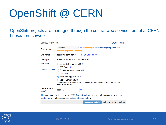# OpenShift @ CERN

OpenShift projects are managed through the central web services portal at CERN: https://cern.ch/web

| Create new site                                                                                                                                   |                                                                                                                                                                                                                                    |                                             | [Open help] |
|---------------------------------------------------------------------------------------------------------------------------------------------------|------------------------------------------------------------------------------------------------------------------------------------------------------------------------------------------------------------------------------------|---------------------------------------------|-------------|
| Site category:                                                                                                                                    | $\div$<br><b>Test site</b><br>websites expire in 6 months                                                                                                                                                                          | According to website lifecycle policy, test |             |
| Site name:                                                                                                                                        | test-devs-cern-demo                                                                                                                                                                                                                | Build name >>                               |             |
| Description:                                                                                                                                      | Demo for Introduction to OpenShift                                                                                                                                                                                                 |                                             |             |
| Site type:                                                                                                                                        | Centrally hosted on DFS                                                                                                                                                                                                            |                                             |             |
| How to choose?                                                                                                                                    | <b>EOS folder</b><br>Collaboration workspace<br>Drupal <sup>o</sup><br>• PaaS Web Application<br>Social Community<br>Create communities about topics that interest you, find answers to your questions and<br>connect with others. |                                             |             |
| <b>Owner (CERN</b><br>login):                                                                                                                     | rodrigal                                                                                                                                                                                                                           |                                             |             |
| I have read and agreed to the CERN Computing Rules and taken into account the design<br>quidelines for websites and the website lifecycle policy. |                                                                                                                                                                                                                                    |                                             |             |

**Create new website** 





(All fields are mandatory)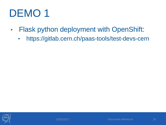# DEMO<sub>1</sub>

- Flask python deployment with OpenShift:
	- https://gitlab.cern.ch/paas-tools/test-devs-cern



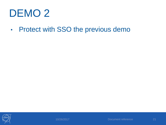## DEMO<sub>2</sub>

• Protect with SSO the previous demo



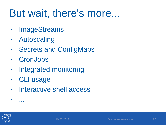## But wait, there's more...

- **ImageStreams**
- Autoscaling
- Secrets and ConfigMaps
- **CronJobs**
- Integrated monitoring
- CLI usage
- Interactive shell access



• ...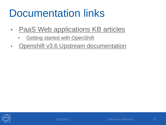## Documentation links

- [PaaS Web applications KB articles](https://cern.service-now.com/service-portal/faq.do?se=PaaS-Web-App)
	- [Getting started with OpenShift](https://cern.service-now.com/service-portal/article.do?n=KB0004358)
- [Openshift v3.6 Upstream documentation](https://docs.openshift.org/3.6/welcome/index.html)